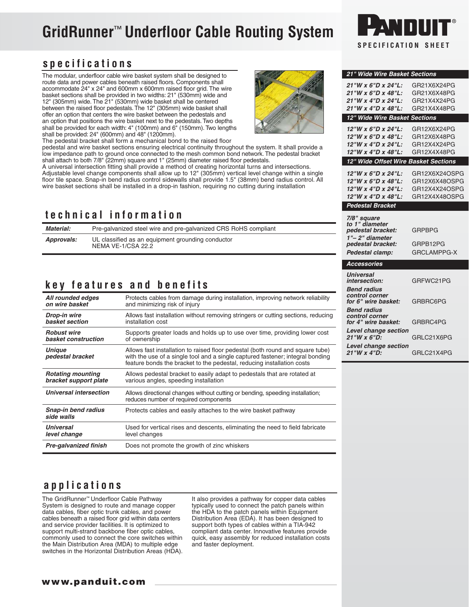# **GridRunner**™ **Underfloor Cable Routing System**

# **specifications**

The modular, underfloor cable wire basket system shall be designed to route data and power cables beneath raised floors. Components shall accommodate 24" x 24" and 600mm x 600mm raised floor grid. The wire basket sections shall be provided in two widths: 21" (530mm) wide and 12" (305mm) wide. The 21" (530mm) wide basket shall be centered between the raised floor pedestals. The 12" (305mm) wide basket shall offer an option that centers the wire basket between the pedestals and an option that positions the wire basket next to the pedestals. Two depths shall be provided for each width: 4" (100mm) and 6" (150mm). Two lengths shall be provided: 24" (600mm) and 48" (1200mm).

The pedestal bracket shall form a mechanical bond to the raised floor

pedestal and wire basket sections ensuring electrical continuity throughout the system. It shall provide a low impedance path to ground once connected to the mesh common bond network. The pedestal bracket shall attach to both 7/8" (22mm) square and 1" (25mm) diameter raised floor pedestals.

A universal intersection fitting shall provide a method of creating horizontal turns and intersections. Adjustable level change components shall allow up to 12" (305mm) vertical level change within a single floor tile space. Snap-in bend radius control sidewalls shall provide 1.5" (38mm) bend radius control. All wire basket sections shall be installed in a drop-in fashion, requiring no cutting during installation

# **technical information**

| Material:  | Pre-galvanized steel wire and pre-galvanized CRS RoHS compliant         |                               |  |  |
|------------|-------------------------------------------------------------------------|-------------------------------|--|--|
| Approvals: | UL classified as an equipment grounding conductor<br>NEMA VE-1/CSA 22.2 | 1"-2" diame:<br>pedestal brac |  |  |
|            |                                                                         | <b>Dedectal clan</b>          |  |  |

## **key features and benefits**

| All rounded edges                 | Protects cables from damage during installation, improving network reliability                                                                                                                                                             |
|-----------------------------------|--------------------------------------------------------------------------------------------------------------------------------------------------------------------------------------------------------------------------------------------|
| on wire basket                    | and minimizing risk of injury                                                                                                                                                                                                              |
| Drop-in wire                      | Allows fast installation without removing stringers or cutting sections, reducing                                                                                                                                                          |
| basket section                    | installation cost                                                                                                                                                                                                                          |
| <b>Robust wire</b>                | Supports greater loads and holds up to use over time, providing lower cost                                                                                                                                                                 |
| basket construction               | of ownership                                                                                                                                                                                                                               |
| <b>Unique</b><br>pedestal bracket | Allows fast installation to raised floor pedestal (both round and square tube)<br>with the use of a single tool and a single captured fastener; integral bonding<br>feature bonds the bracket to the pedestal, reducing installation costs |
| <b>Rotating mounting</b>          | Allows pedestal bracket to easily adapt to pedestals that are rotated at                                                                                                                                                                   |
| bracket support plate             | various angles, speeding installation                                                                                                                                                                                                      |
| Universal intersection            | Allows directional changes without cutting or bending, speeding installation;<br>reduces number of required components                                                                                                                     |
| Snap-in bend radius<br>side walls | Protects cables and easily attaches to the wire basket pathway                                                                                                                                                                             |
| Universal                         | Used for vertical rises and descents, eliminating the need to field fabricate                                                                                                                                                              |
| level change                      | level changes                                                                                                                                                                                                                              |
| Pre-galvanized finish             | Does not promote the growth of zinc whiskers                                                                                                                                                                                               |

#### **www.panduit.com**





### *21" Wide Wire Basket Sections 21"W x 6"D x 24"L:* GR21X6X24PG *21"W x 6"D x 48"L:* GR21X6X48PG *21"W x 4"D x 24"L:* GR21X4X24PG *21"W x 4"D x 48"L:* GR21X4X48PG *12" Wide Wire Basket Sections 12"W x 6"D x 24"L:* GR12X6X24PG *12"W x 6"D x 48"L:* GR12X6X48PG *12"W x 4"D x 24"L:* GR12X4X24PG *12"W x 4"D x 48"L: 12" Wide Offset Wire Basket Sections 12"W x 6"D x 24"L:* GR12X6X24OSPG *12"W x 6"D x 48"L:* GR12X6X48OSPG 12"W x 4"D x 24"L: *12"W x 4"D x 48"L:* GR12X4X48OSPG *Pedestal Bracket 7/8" square to 1" diameter pedestal bracket:* GRPBPG ter<br><sup>-kat:</sup> *pedestal bracket:* GRPB12PG *Pedestal clamp:* GRCLAMPPG-X *Accessories Universal intersection:* GRFWC21PG *Bend radius control corner for 6" wire basket:* GRBRC6PG *Bend radius control corner for 4" wire basket:* GRBRC4PG *Level change section 21"W x 6"D:* GRLC21X6PG *Level change section 21"W x 4"D:* GRLC21X4PG

## **applications** The GridRunner™ Underfloor Cable Pathway

System is designed to route and manage copper data cables, fiber optic trunk cables, and power cables beneath a raised floor grid within data centers and service provider facilities. It is optimized to support multi-strand backbone fiber optic cables, commonly used to connect the core switches within the Main Distribution Area (MDA) to multiple edge switches in the Horizontal Distribution Areas (HDA). It also provides a pathway for copper data cables typically used to connect the patch panels within the HDA to the patch panels within Equipment Distribution Area (EDA). It has been designed to support both types of cables within a TIA-942 compliant data center. Innovative features provide quick, easy assembly for reduced installation costs and faster deployment.